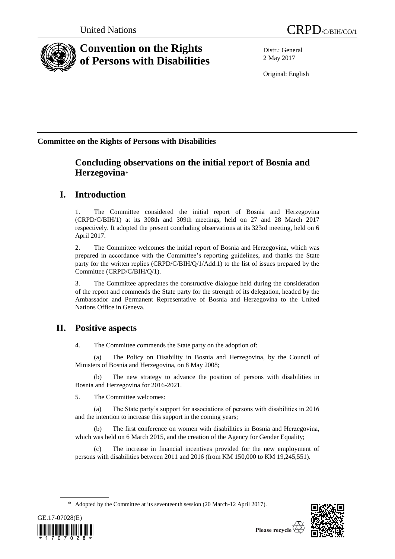



# **Convention on the Rights of Persons with Disabilities**

Distr.: General 2 May 2017

Original: English

# **Committee on the Rights of Persons with Disabilities**

# **Concluding observations on the initial report of Bosnia and Herzegovina**\*

# **I. Introduction**

1. The Committee considered the initial report of Bosnia and Herzegovina (CRPD/C/BIH/1) at its 308th and 309th meetings, held on 27 and 28 March 2017 respectively. It adopted the present concluding observations at its 323rd meeting, held on 6 April 2017.

2. The Committee welcomes the initial report of Bosnia and Herzegovina, which was prepared in accordance with the Committee's reporting guidelines, and thanks the State party for the written replies (CRPD/C/BIH/Q/1/Add.1) to the list of issues prepared by the Committee (CRPD/C/BIH/Q/1).

3. The Committee appreciates the constructive dialogue held during the consideration of the report and commends the State party for the strength of its delegation, headed by the Ambassador and Permanent Representative of Bosnia and Herzegovina to the United Nations Office in Geneva.

# **II. Positive aspects**

4. The Committee commends the State party on the adoption of:

(a) The Policy on Disability in Bosnia and Herzegovina, by the Council of Ministers of Bosnia and Herzegovina, on 8 May 2008;

(b) The new strategy to advance the position of persons with disabilities in Bosnia and Herzegovina for 2016-2021.

5. The Committee welcomes:

(a) The State party's support for associations of persons with disabilities in 2016 and the intention to increase this support in the coming years;

(b) The first conference on women with disabilities in Bosnia and Herzegovina, which was held on 6 March 2015, and the creation of the Agency for Gender Equality;

(c) The increase in financial incentives provided for the new employment of persons with disabilities between 2011 and 2016 (from KM 150,000 to KM 19,245,551).

<sup>\*</sup> Adopted by the Committee at its seventeenth session (20 March-12 April 2017).



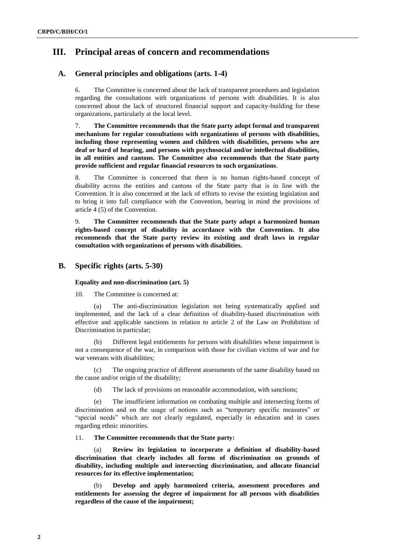# **III. Principal areas of concern and recommendations**

# **A. General principles and obligations (arts. 1-4)**

6. The Committee is concerned about the lack of transparent procedures and legislation regarding the consultations with organizations of persons with disabilities. It is also concerned about the lack of structured financial support and capacity-building for these organizations, particularly at the local level.

7. **The Committee recommends that the State party adopt formal and transparent mechanisms for regular consultations with organizations of persons with disabilities, including those representing women and children with disabilities, persons who are deaf or hard of hearing, and persons with psychosocial and/or intellectual disabilities, in all entities and cantons. The Committee also recommends that the State party provide sufficient and regular financial resources to such organizations**.

8. The Committee is concerned that there is no human rights-based concept of disability across the entities and cantons of the State party that is in line with the Convention. It is also concerned at the lack of efforts to revise the existing legislation and to bring it into full compliance with the Convention, bearing in mind the provisions of article 4 (5) of the Convention.

9. **The Committee recommends that the State party adopt a harmonized human rights-based concept of disability in accordance with the Convention. It also recommends that the State party review its existing and draft laws in regular consultation with organizations of persons with disabilities.**

# **B. Specific rights (arts. 5-30)**

# **Equality and non-discrimination (art. 5)**

10. The Committee is concerned at:

(a) The anti-discrimination legislation not being systematically applied and implemented, and the lack of a clear definition of disability-based discrimination with effective and applicable sanctions in relation to article 2 of the Law on Prohibition of Discrimination in particular;

(b) Different legal entitlements for persons with disabilities whose impairment is not a consequence of the war, in comparison with those for civilian victims of war and for war veterans with disabilities;

(c) The ongoing practice of different assessments of the same disability based on the cause and/or origin of the disability;

(d) The lack of provisions on reasonable accommodation, with sanctions;

The insufficient information on combating multiple and intersecting forms of discrimination and on the usage of notions such as "temporary specific measures" or "special needs" which are not clearly regulated, especially in education and in cases regarding ethnic minorities.

11. **The Committee recommends that the State party:**

(a) **Review its legislation to incorporate a definition of disability-based discrimination that clearly includes all forms of discrimination on grounds of disability, including multiple and intersecting discrimination, and allocate financial resources for its effective implementation;**

(b) **Develop and apply harmonized criteria, assessment procedures and entitlements for assessing the degree of impairment for all persons with disabilities regardless of the cause of the impairment;**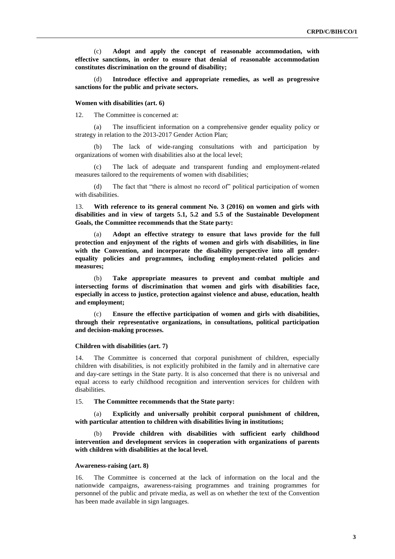(c) **Adopt and apply the concept of reasonable accommodation, with effective sanctions, in order to ensure that denial of reasonable accommodation constitutes discrimination on the ground of disability;**

(d) **Introduce effective and appropriate remedies, as well as progressive sanctions for the public and private sectors.**

#### **Women with disabilities (art. 6)**

12. The Committee is concerned at:

(a) The insufficient information on a comprehensive gender equality policy or strategy in relation to the 2013-2017 Gender Action Plan;

The lack of wide-ranging consultations with and participation by organizations of women with disabilities also at the local level;

(c) The lack of adequate and transparent funding and employment-related measures tailored to the requirements of women with disabilities;

(d) The fact that "there is almost no record of" political participation of women with disabilities.

13. **With reference to its general comment No. 3 (2016) on women and girls with disabilities and in view of targets 5.1, 5.2 and 5.5 of the Sustainable Development Goals, the Committee recommends that the State party:**

Adopt an effective strategy to ensure that laws provide for the full **protection and enjoyment of the rights of women and girls with disabilities, in line with the Convention, and incorporate the disability perspective into all genderequality policies and programmes, including employment-related policies and measures;**

(b) **Take appropriate measures to prevent and combat multiple and intersecting forms of discrimination that women and girls with disabilities face, especially in access to justice, protection against violence and abuse, education, health and employment;**

(c) **Ensure the effective participation of women and girls with disabilities, through their representative organizations, in consultations, political participation and decision-making processes.**

#### **Children with disabilities (art. 7)**

14. The Committee is concerned that corporal punishment of children, especially children with disabilities, is not explicitly prohibited in the family and in alternative care and day-care settings in the State party. It is also concerned that there is no universal and equal access to early childhood recognition and intervention services for children with disabilities.

15. **The Committee recommends that the State party:**

(a) **Explicitly and universally prohibit corporal punishment of children, with particular attention to children with disabilities living in institutions;**

(b) **Provide children with disabilities with sufficient early childhood intervention and development services in cooperation with organizations of parents with children with disabilities at the local level.**

#### **Awareness-raising (art. 8)**

16. The Committee is concerned at the lack of information on the local and the nationwide campaigns, awareness-raising programmes and training programmes for personnel of the public and private media, as well as on whether the text of the Convention has been made available in sign languages.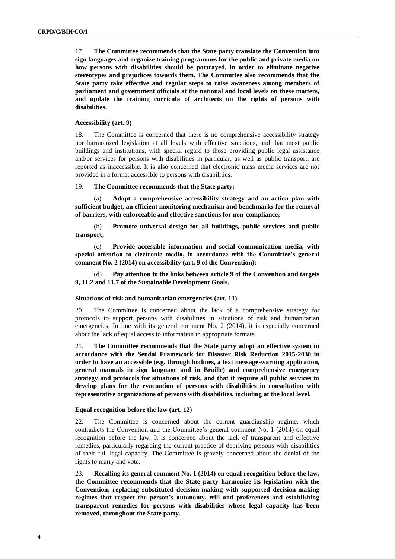17. **The Committee recommends that the State party translate the Convention into sign languages and organize training programmes for the public and private media on how persons with disabilities should be portrayed, in order to eliminate negative stereotypes and prejudices towards them. The Committee also recommends that the State party take effective and regular steps to raise awareness among members of parliament and government officials at the national and local levels on these matters, and update the training curricula of architects on the rights of persons with disabilities.**

## **Accessibility (art. 9)**

18. The Committee is concerned that there is no comprehensive accessibility strategy nor harmonized legislation at all levels with effective sanctions, and that most public buildings and institutions, with special regard to those providing public legal assistance and/or services for persons with disabilities in particular, as well as public transport, are reported as inaccessible. It is also concerned that electronic mass media services are not provided in a format accessible to persons with disabilities.

#### 19. **The Committee recommends that the State party:**

(a) **Adopt a comprehensive accessibility strategy and an action plan with sufficient budget, an efficient monitoring mechanism and benchmarks for the removal of barriers, with enforceable and effective sanctions for non-compliance;** 

(b) **Promote universal design for all buildings, public services and public transport;**

(c) **Provide accessible information and social communication media, with special attention to electronic media, in accordance with the Committee's general comment No. 2 (2014) on accessibility (art. 9 of the Convention);**

(d) **Pay attention to the links between article 9 of the Convention and targets 9, 11.2 and 11.7 of the Sustainable Development Goals.**

### **Situations of risk and humanitarian emergencies (art. 11)**

20. The Committee is concerned about the lack of a comprehensive strategy for protocols to support persons with disabilities in situations of risk and humanitarian emergencies. In line with its general comment No. 2 (2014), it is especially concerned about the lack of equal access to information in appropriate formats.

21. **The Committee recommends that the State party adopt an effective system in accordance with the Sendai Framework for Disaster Risk Reduction 2015-2030 in order to have an accessible (e.g. through hotlines, a text message-warning application, general manuals in sign language and in Braille) and comprehensive emergency strategy and protocols for situations of risk, and that it require all public services to develop plans for the evacuation of persons with disabilities in consultation with representative organizations of persons with disabilities, including at the local level.** 

## **Equal recognition before the law (art. 12)**

22. The Committee is concerned about the current guardianship regime, which contradicts the Convention and the Committee's general comment No. 1 (2014) on equal recognition before the law. It is concerned about the lack of transparent and effective remedies, particularly regarding the current practice of depriving persons with disabilities of their full legal capacity. The Committee is gravely concerned about the denial of the rights to marry and vote.

23. **Recalling its general comment No. 1 (2014) on equal recognition before the law, the Committee recommends that the State party harmonize its legislation with the Convention, replacing substituted decision-making with supported decision-making regimes that respect the person's autonomy, will and preferences and establishing transparent remedies for persons with disabilities whose legal capacity has been removed, throughout the State party.**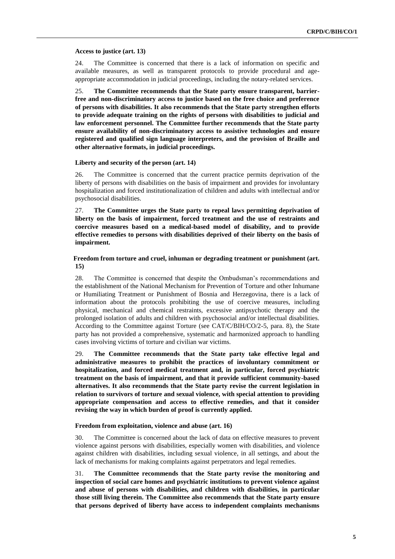#### **Access to justice (art. 13)**

24. The Committee is concerned that there is a lack of information on specific and available measures, as well as transparent protocols to provide procedural and ageappropriate accommodation in judicial proceedings, including the notary-related services.

25. **The Committee recommends that the State party ensure transparent, barrierfree and non-discriminatory access to justice based on the free choice and preference of persons with disabilities. It also recommends that the State party strengthen efforts to provide adequate training on the rights of persons with disabilities to judicial and law enforcement personnel. The Committee further recommends that the State party ensure availability of non-discriminatory access to assistive technologies and ensure registered and qualified sign language interpreters, and the provision of Braille and other alternative formats, in judicial proceedings.**

## **Liberty and security of the person (art. 14)**

26. The Committee is concerned that the current practice permits deprivation of the liberty of persons with disabilities on the basis of impairment and provides for involuntary hospitalization and forced institutionalization of children and adults with intellectual and/or psychosocial disabilities.

27. **The Committee urges the State party to repeal laws permitting deprivation of liberty on the basis of impairment, forced treatment and the use of restraints and coercive measures based on a medical-based model of disability, and to provide effective remedies to persons with disabilities deprived of their liberty on the basis of impairment.**

## **Freedom from torture and cruel, inhuman or degrading treatment or punishment (art. 15)**

28. The Committee is concerned that despite the Ombudsman's recommendations and the establishment of the National Mechanism for Prevention of Torture and other Inhumane or Humiliating Treatment or Punishment of Bosnia and Herzegovina, there is a lack of information about the protocols prohibiting the use of coercive measures, including physical, mechanical and chemical restraints, excessive antipsychotic therapy and the prolonged isolation of adults and children with psychosocial and/or intellectual disabilities. According to the Committee against Torture (see CAT/C/BIH/CO/2-5, para. 8), the State party has not provided a comprehensive, systematic and harmonized approach to handling cases involving victims of torture and civilian war victims.

29. **The Committee recommends that the State party take effective legal and administrative measures to prohibit the practices of involuntary commitment or hospitalization, and forced medical treatment and, in particular, forced psychiatric treatment on the basis of impairment, and that it provide sufficient community-based alternatives. It also recommends that the State party revise the current legislation in relation to survivors of torture and sexual violence, with special attention to providing appropriate compensation and access to effective remedies, and that it consider revising the way in which burden of proof is currently applied.**

### **Freedom from exploitation, violence and abuse (art. 16)**

30. The Committee is concerned about the lack of data on effective measures to prevent violence against persons with disabilities, especially women with disabilities, and violence against children with disabilities, including sexual violence, in all settings, and about the lack of mechanisms for making complaints against perpetrators and legal remedies.

31. **The Committee recommends that the State party revise the monitoring and inspection of social care homes and psychiatric institutions to prevent violence against and abuse of persons with disabilities, and children with disabilities, in particular those still living therein. The Committee also recommends that the State party ensure that persons deprived of liberty have access to independent complaints mechanisms**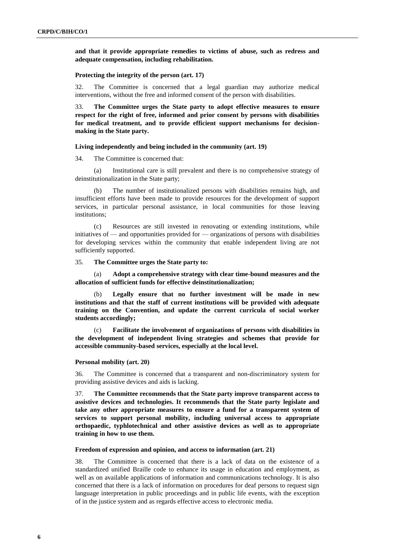**and that it provide appropriate remedies to victims of abuse, such as redress and adequate compensation, including rehabilitation.**

#### **Protecting the integrity of the person (art. 17)**

32. The Committee is concerned that a legal guardian may authorize medical interventions, without the free and informed consent of the person with disabilities.

33. **The Committee urges the State party to adopt effective measures to ensure respect for the right of free, informed and prior consent by persons with disabilities for medical treatment, and to provide efficient support mechanisms for decisionmaking in the State party.**

#### **Living independently and being included in the community (art. 19)**

34. The Committee is concerned that:

(a) Institutional care is still prevalent and there is no comprehensive strategy of deinstitutionalization in the State party;

(b) The number of institutionalized persons with disabilities remains high, and insufficient efforts have been made to provide resources for the development of support services, in particular personal assistance, in local communities for those leaving institutions;

(c) Resources are still invested in renovating or extending institutions, while initiatives of — and opportunities provided for — organizations of persons with disabilities for developing services within the community that enable independent living are not sufficiently supported.

#### 35. **The Committee urges the State party to:**

(a) **Adopt a comprehensive strategy with clear time-bound measures and the allocation of sufficient funds for effective deinstitutionalization;**

(b) **Legally ensure that no further investment will be made in new institutions and that the staff of current institutions will be provided with adequate training on the Convention, and update the current curricula of social worker students accordingly;**

(c) **Facilitate the involvement of organizations of persons with disabilities in the development of independent living strategies and schemes that provide for accessible community-based services, especially at the local level.**

#### **Personal mobility (art. 20)**

36. The Committee is concerned that a transparent and non-discriminatory system for providing assistive devices and aids is lacking.

37. **The Committee recommends that the State party improve transparent access to assistive devices and technologies. It recommends that the State party legislate and take any other appropriate measures to ensure a fund for a transparent system of services to support personal mobility, including universal access to appropriate orthopaedic, typhlotechnical and other assistive devices as well as to appropriate training in how to use them.** 

### **Freedom of expression and opinion, and access to information (art. 21)**

38. The Committee is concerned that there is a lack of data on the existence of a standardized unified Braille code to enhance its usage in education and employment, as well as on available applications of information and communications technology. It is also concerned that there is a lack of information on procedures for deaf persons to request sign language interpretation in public proceedings and in public life events, with the exception of in the justice system and as regards effective access to electronic media.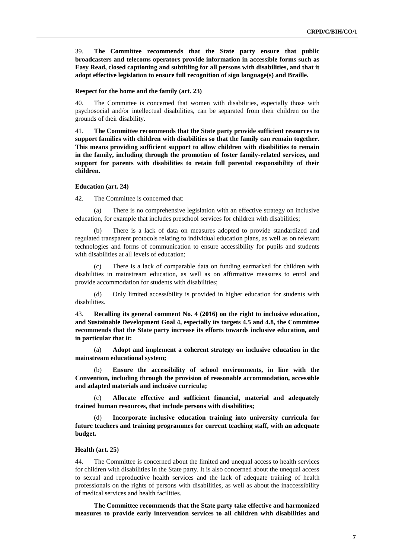39. **The Committee recommends that the State party ensure that public broadcasters and telecoms operators provide information in accessible forms such as Easy Read, closed captioning and subtitling for all persons with disabilities, and that it adopt effective legislation to ensure full recognition of sign language(s) and Braille.**

#### **Respect for the home and the family (art. 23)**

40. The Committee is concerned that women with disabilities, especially those with psychosocial and/or intellectual disabilities, can be separated from their children on the grounds of their disability.

41. **The Committee recommends that the State party provide sufficient resources to support families with children with disabilities so that the family can remain together. This means providing sufficient support to allow children with disabilities to remain in the family, including through the promotion of foster family-related services, and support for parents with disabilities to retain full parental responsibility of their children.**

## **Education (art. 24)**

42. The Committee is concerned that:

(a) There is no comprehensive legislation with an effective strategy on inclusive education, for example that includes preschool services for children with disabilities;

(b) There is a lack of data on measures adopted to provide standardized and regulated transparent protocols relating to individual education plans, as well as on relevant technologies and forms of communication to ensure accessibility for pupils and students with disabilities at all levels of education;

There is a lack of comparable data on funding earmarked for children with disabilities in mainstream education, as well as on affirmative measures to enrol and provide accommodation for students with disabilities;

(d) Only limited accessibility is provided in higher education for students with disabilities.

43. **Recalling its general comment No. 4 (2016) on the right to inclusive education, and Sustainable Development Goal 4, especially its targets 4.5 and 4.8, the Committee recommends that the State party increase its efforts towards inclusive education, and in particular that it:**

Adopt and implement a coherent strategy on inclusive education in the **mainstream educational system;**

(b) **Ensure the accessibility of school environments, in line with the Convention, including through the provision of reasonable accommodation, accessible and adapted materials and inclusive curricula;**

(c) **Allocate effective and sufficient financial, material and adequately trained human resources, that include persons with disabilities;** 

(d) **Incorporate inclusive education training into university curricula for future teachers and training programmes for current teaching staff, with an adequate budget.** 

### **Health (art. 25)**

44. The Committee is concerned about the limited and unequal access to health services for children with disabilities in the State party. It is also concerned about the unequal access to sexual and reproductive health services and the lack of adequate training of health professionals on the rights of persons with disabilities, as well as about the inaccessibility of medical services and health facilities.

**The Committee recommends that the State party take effective and harmonized measures to provide early intervention services to all children with disabilities and**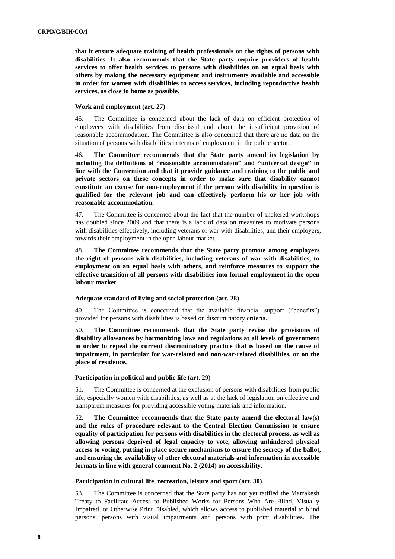**that it ensure adequate training of health professionals on the rights of persons with disabilities. It also recommends that the State party require providers of health services to offer health services to persons with disabilities on an equal basis with others by making the necessary equipment and instruments available and accessible in order for women with disabilities to access services, including reproductive health services, as close to home as possible.**

## **Work and employment (art. 27)**

45. The Committee is concerned about the lack of data on efficient protection of employees with disabilities from dismissal and about the insufficient provision of reasonable accommodation. The Committee is also concerned that there are no data on the situation of persons with disabilities in terms of employment in the public sector.

46. **The Committee recommends that the State party amend its legislation by including the definitions of "reasonable accommodation" and "universal design" in line with the Convention and that it provide guidance and training to the public and private sectors on these concepts in order to make sure that disability cannot constitute an excuse for non-employment if the person with disability in question is qualified for the relevant job and can effectively perform his or her job with reasonable accommodation.**

47. The Committee is concerned about the fact that the number of sheltered workshops has doubled since 2009 and that there is a lack of data on measures to motivate persons with disabilities effectively, including veterans of war with disabilities, and their employers, towards their employment in the open labour market.

48. **The Committee recommends that the State party promote among employers the right of persons with disabilities, including veterans of war with disabilities, to employment on an equal basis with others, and reinforce measures to support the effective transition of all persons with disabilities into formal employment in the open labour market.**

## **Adequate standard of living and social protection (art. 28)**

49. The Committee is concerned that the available financial support ("benefits") provided for persons with disabilities is based on discriminatory criteria.

50. **The Committee recommends that the State party revise the provisions of disability allowances by harmonizing laws and regulations at all levels of government in order to repeal the current discriminatory practice that is based on the cause of impairment, in particular for war-related and non-war-related disabilities, or on the place of residence.** 

## **Participation in political and public life (art. 29)**

51. The Committee is concerned at the exclusion of persons with disabilities from public life, especially women with disabilities, as well as at the lack of legislation on effective and transparent measures for providing accessible voting materials and information.

52. **The Committee recommends that the State party amend the electoral law(s) and the rules of procedure relevant to the Central Election Commission to ensure equality of participation for persons with disabilities in the electoral process, as well as allowing persons deprived of legal capacity to vote, allowing unhindered physical access to voting, putting in place secure mechanisms to ensure the secrecy of the ballot, and ensuring the availability of other electoral materials and information in accessible formats in line with general comment No. 2 (2014) on accessibility.**

## **Participation in cultural life, recreation, leisure and sport (art. 30)**

53. The Committee is concerned that the State party has not yet ratified the Marrakesh Treaty to Facilitate Access to Published Works for Persons Who Are Blind, Visually Impaired, or Otherwise Print Disabled, which allows access to published material to blind persons, persons with visual impairments and persons with print disabilities. The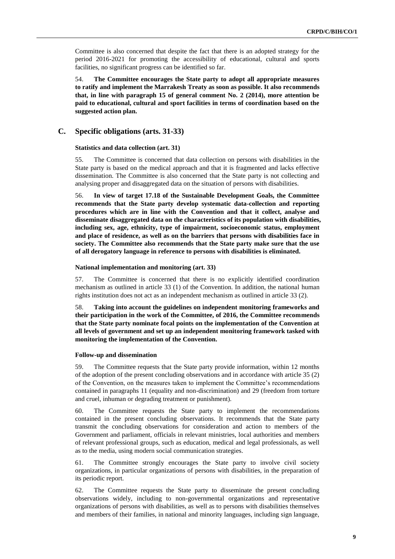Committee is also concerned that despite the fact that there is an adopted strategy for the period 2016-2021 for promoting the accessibility of educational, cultural and sports facilities, no significant progress can be identified so far.

54. **The Committee encourages the State party to adopt all appropriate measures to ratify and implement the Marrakesh Treaty as soon as possible. It also recommends that, in line with paragraph 15 of general comment No. 2 (2014), more attention be paid to educational, cultural and sport facilities in terms of coordination based on the suggested action plan.**

# **C. Specific obligations (arts. 31-33)**

#### **Statistics and data collection (art. 31)**

55. The Committee is concerned that data collection on persons with disabilities in the State party is based on the medical approach and that it is fragmented and lacks effective dissemination. The Committee is also concerned that the State party is not collecting and analysing proper and disaggregated data on the situation of persons with disabilities.

56. **In view of target 17.18 of the Sustainable Development Goals, the Committee recommends that the State party develop systematic data-collection and reporting procedures which are in line with the Convention and that it collect, analyse and disseminate disaggregated data on the characteristics of its population with disabilities, including sex, age, ethnicity, type of impairment, socioeconomic status, employment and place of residence, as well as on the barriers that persons with disabilities face in society. The Committee also recommends that the State party make sure that the use of all derogatory language in reference to persons with disabilities is eliminated.**

#### **National implementation and monitoring (art. 33)**

57. The Committee is concerned that there is no explicitly identified coordination mechanism as outlined in article 33 (1) of the Convention. In addition, the national human rights institution does not act as an independent mechanism as outlined in article 33 (2).

58. **Taking into account the guidelines on independent monitoring frameworks and their participation in the work of the Committee, of 2016, the Committee recommends that the State party nominate focal points on the implementation of the Convention at all levels of government and set up an independent monitoring framework tasked with monitoring the implementation of the Convention.**

#### **Follow-up and dissemination**

59. The Committee requests that the State party provide information, within 12 months of the adoption of the present concluding observations and in accordance with article 35 (2) of the Convention, on the measures taken to implement the Committee's recommendations contained in paragraphs 11 (equality and non-discrimination) and 29 (freedom from torture and cruel, inhuman or degrading treatment or punishment).

60. The Committee requests the State party to implement the recommendations contained in the present concluding observations. It recommends that the State party transmit the concluding observations for consideration and action to members of the Government and parliament, officials in relevant ministries, local authorities and members of relevant professional groups, such as education, medical and legal professionals, as well as to the media, using modern social communication strategies.

61. The Committee strongly encourages the State party to involve civil society organizations, in particular organizations of persons with disabilities, in the preparation of its periodic report.

62. The Committee requests the State party to disseminate the present concluding observations widely, including to non-governmental organizations and representative organizations of persons with disabilities, as well as to persons with disabilities themselves and members of their families, in national and minority languages, including sign language,